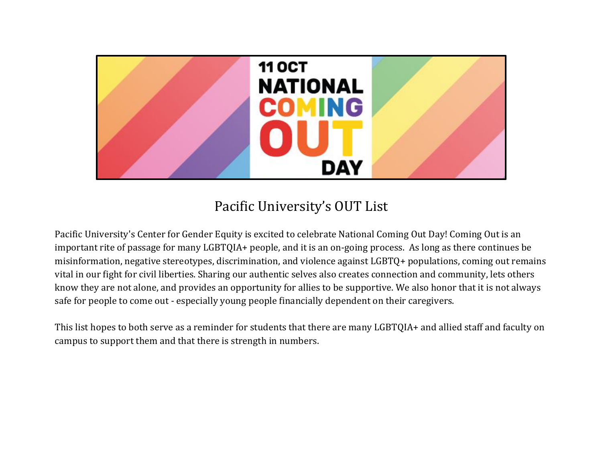

## Pacific University's OUT List

Pacific University's Center for Gender Equity is excited to celebrate National Coming Out Day! Coming Out is an important rite of passage for many LGBTQIA+ people, and it is an on-going process. As long as there continues be misinformation, negative stereotypes, discrimination, and violence against LGBTQ+ populations, coming out remains vital in our fight for civil liberties. Sharing our authentic selves also creates connection and community, lets others know they are not alone, and provides an opportunity for allies to be supportive. We also honor that it is not always safe for people to come out - especially young people financially dependent on their caregivers.

This list hopes to both serve as a reminder for students that there are many LGBTQIA+ and allied staff and faculty on campus to support them and that there is strength in numbers.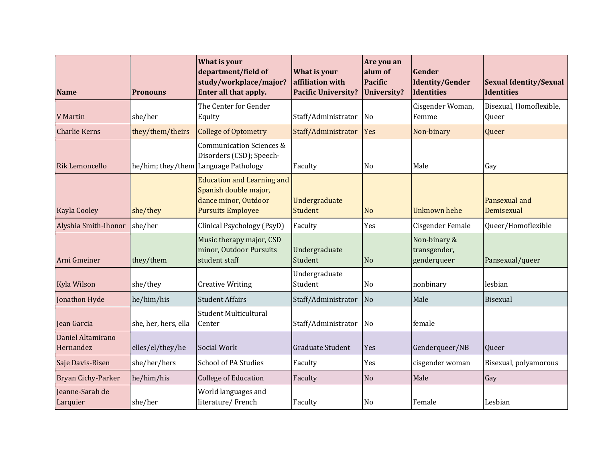| <b>Name</b>                    | <b>Pronouns</b>      | <b>What is your</b><br>department/field of<br>study/workplace/major?<br>Enter all that apply.                  | What is your<br>affiliation with<br><b>Pacific University?</b> | Are you an<br>alum of<br><b>Pacific</b><br><b>University?</b> | Gender<br><b>Identity/Gender</b><br>Identities | <b>Sexual Identity/Sexual</b><br><b>Identities</b> |
|--------------------------------|----------------------|----------------------------------------------------------------------------------------------------------------|----------------------------------------------------------------|---------------------------------------------------------------|------------------------------------------------|----------------------------------------------------|
| <b>V</b> Martin                | she/her              | The Center for Gender<br>Equity                                                                                | Staff/Administrator                                            | $\overline{\text{No}}$                                        | Cisgender Woman,<br>Femme                      | Bisexual, Homoflexible,<br>Queer                   |
| <b>Charlie Kerns</b>           | they/them/theirs     | <b>College of Optometry</b>                                                                                    | Staff/Administrator                                            | Yes                                                           | Non-binary                                     | Queer                                              |
| <b>Rik Lemoncello</b>          | he/him; they/them    | <b>Communication Sciences &amp;</b><br>Disorders (CSD); Speech-<br>Language Pathology                          | Faculty                                                        | No                                                            | Male                                           | Gay                                                |
| <b>Kayla Cooley</b>            | she/they             | <b>Education and Learning and</b><br>Spanish double major,<br>dance minor, Outdoor<br><b>Pursuits Employee</b> | Undergraduate<br><b>Student</b>                                | N <sub>o</sub>                                                | <b>Unknown hehe</b>                            | Pansexual and<br>Demisexual                        |
| Alyshia Smith-Ihonor           | she/her              | Clinical Psychology (PsyD)                                                                                     | Faculty                                                        | Yes                                                           | Cisgender Female                               | Queer/Homoflexible                                 |
| Arni Gmeiner                   | they/them            | Music therapy major, CSD<br>minor, Outdoor Pursuits<br>student staff                                           | Undergraduate<br>Student                                       | <b>No</b>                                                     | Non-binary &<br>transgender,<br>genderqueer    | Pansexual/queer                                    |
| <b>Kyla Wilson</b>             | she/they             | <b>Creative Writing</b>                                                                                        | Undergraduate<br>Student                                       | No                                                            | nonbinary                                      | lesbian                                            |
| Jonathon Hyde                  | he/him/his           | <b>Student Affairs</b>                                                                                         | Staff/Administrator                                            | N <sub>o</sub>                                                | Male                                           | Bisexual                                           |
| Jean Garcia                    | she, her, hers, ella | <b>Student Multicultural</b><br>Center                                                                         | Staff/Administrator                                            | N <sub>o</sub>                                                | female                                         |                                                    |
| Daniel Altamirano<br>Hernandez | elles/el/they/he     | Social Work                                                                                                    | Graduate Student                                               | Yes                                                           | Genderqueer/NB                                 | Queer                                              |
| Saje Davis-Risen               | she/her/hers         | <b>School of PA Studies</b>                                                                                    | Faculty                                                        | Yes                                                           | cisgender woman                                | Bisexual, polyamorous                              |
| <b>Bryan Cichy-Parker</b>      | he/him/his           | <b>College of Education</b>                                                                                    | Faculty                                                        | N <sub>o</sub>                                                | Male                                           | Gay                                                |
| Jeanne-Sarah de<br>Larquier    | she/her              | World languages and<br>literature/French                                                                       | Faculty                                                        | No                                                            | Female                                         | Lesbian                                            |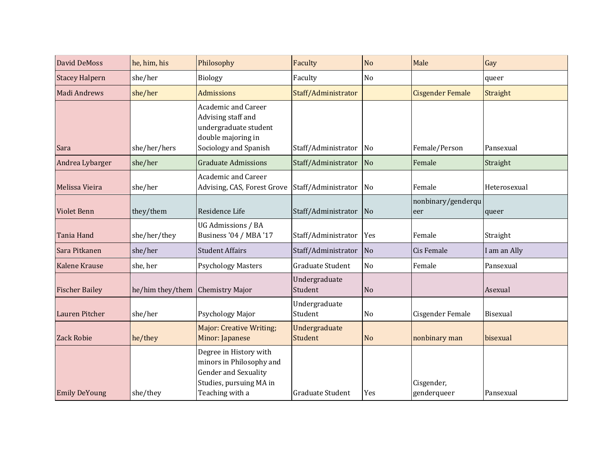| <b>David DeMoss</b>   | he, him, his     | Philosophy                                                                                                                      | Faculty                  | <b>No</b>              | Male                      | Gay             |
|-----------------------|------------------|---------------------------------------------------------------------------------------------------------------------------------|--------------------------|------------------------|---------------------------|-----------------|
| <b>Stacey Halpern</b> | she/her          | <b>Biology</b>                                                                                                                  | Faculty                  | N <sub>o</sub>         |                           | queer           |
| Madi Andrews          | she/her          | <b>Admissions</b>                                                                                                               | Staff/Administrator      |                        | <b>Cisgender Female</b>   | <b>Straight</b> |
| Sara                  | she/her/hers     | <b>Academic and Career</b><br>Advising staff and<br>undergraduate student<br>double majoring in<br>Sociology and Spanish        | Staff/Administrator      | No                     | Female/Person             | Pansexual       |
| Andrea Lybarger       | she/her          | <b>Graduate Admissions</b>                                                                                                      | Staff/Administrator      | N <sub>o</sub>         | Female                    | Straight        |
| Melissa Vieira        | she/her          | <b>Academic and Career</b><br>Advising, CAS, Forest Grove                                                                       | Staff/Administrator      | No                     | Female                    | Heterosexual    |
| <b>Violet Benn</b>    | they/them        | Residence Life                                                                                                                  | Staff/Administrator      | N <sub>o</sub>         | nonbinary/genderqu<br>eer | queer           |
| Tania Hand            | she/her/they     | UG Admissions / BA<br><b>Business '04 / MBA '17</b>                                                                             | Staff/Administrator      | Yes                    | Female                    | Straight        |
| Sara Pitkanen         | she/her          | <b>Student Affairs</b>                                                                                                          | Staff/Administrator      | $\overline{\text{No}}$ | <b>Cis Female</b>         | I am an Ally    |
| Kalene Krause         | she, her         | <b>Psychology Masters</b>                                                                                                       | Graduate Student         | N <sub>o</sub>         | Female                    | Pansexual       |
| <b>Fischer Bailey</b> | he/him they/them | <b>Chemistry Major</b>                                                                                                          | Undergraduate<br>Student | N <sub>o</sub>         |                           | Asexual         |
| <b>Lauren Pitcher</b> | she/her          | Psychology Major                                                                                                                | Undergraduate<br>Student | No                     | Cisgender Female          | Bisexual        |
| <b>Zack Robie</b>     | he/they          | <b>Major: Creative Writing;</b><br>Minor: Japanese                                                                              | Undergraduate<br>Student | <b>No</b>              | nonbinary man             | bisexual        |
| <b>Emily DeYoung</b>  | she/they         | Degree in History with<br>minors in Philosophy and<br><b>Gender and Sexuality</b><br>Studies, pursuing MA in<br>Teaching with a | Graduate Student         | Yes                    | Cisgender,<br>genderqueer | Pansexual       |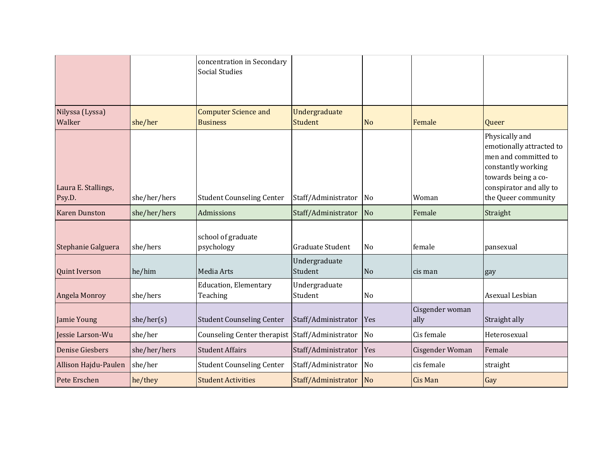|                               |              | concentration in Secondary<br><b>Social Studies</b> |                                 |                        |                         |                                                                                                                                                                   |
|-------------------------------|--------------|-----------------------------------------------------|---------------------------------|------------------------|-------------------------|-------------------------------------------------------------------------------------------------------------------------------------------------------------------|
| Nilyssa (Lyssa)<br>Walker     | she/her      | <b>Computer Science and</b><br><b>Business</b>      | Undergraduate<br><b>Student</b> | N <sub>o</sub>         | Female                  | Queer                                                                                                                                                             |
| Laura E. Stallings,<br>Psy.D. | she/her/hers | <b>Student Counseling Center</b>                    | Staff/Administrator             | No                     | Woman                   | Physically and<br>emotionally attracted to<br>men and committed to<br>constantly working<br>towards being a co-<br>conspirator and ally to<br>the Queer community |
| <b>Karen Dunston</b>          | she/her/hers | Admissions                                          | Staff/Administrator             | $\overline{\text{No}}$ | Female                  | Straight                                                                                                                                                          |
| Stephanie Galguera            | she/hers     | school of graduate<br>psychology                    | <b>Graduate Student</b>         | No                     | female                  | pansexual                                                                                                                                                         |
| <b>Quint Iverson</b>          | he/him       | Media Arts                                          | Undergraduate<br>Student        | No                     | cis man                 | gay                                                                                                                                                               |
| Angela Monroy                 | she/hers     | <b>Education</b> , Elementary<br>Teaching           | Undergraduate<br>Student        | No                     |                         | Asexual Lesbian                                                                                                                                                   |
| Jamie Young                   | she/her(s)   | <b>Student Counseling Center</b>                    | Staff/Administrator             | Yes                    | Cisgender woman<br>ally | Straight ally                                                                                                                                                     |
| Jessie Larson-Wu              | she/her      | Counseling Center therapist Staff/Administrator     |                                 | N <sub>o</sub>         | Cis female              | Heterosexual                                                                                                                                                      |
| <b>Denise Giesbers</b>        | she/her/hers | <b>Student Affairs</b>                              | Staff/Administrator             | Yes                    | Cisgender Woman         | Female                                                                                                                                                            |
| Allison Hajdu-Paulen          | she/her      | <b>Student Counseling Center</b>                    | Staff/Administrator             | $\overline{\text{No}}$ | cis female              | straight                                                                                                                                                          |
| Pete Erschen                  | he/they      | <b>Student Activities</b>                           | Staff/Administrator             | N <sub>o</sub>         | <b>Cis Man</b>          | Gay                                                                                                                                                               |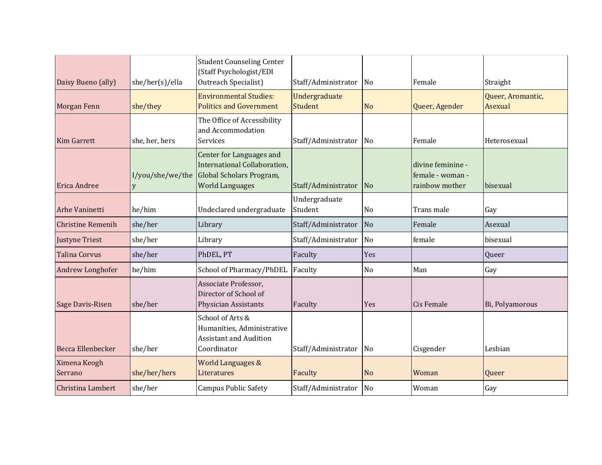| Daisy Bueno (ally)       | she/her(s)/ella       | <b>Student Counseling Center</b><br>(Staff Psychologist/EDI<br>Outreach Specialist)                            | Staff/Administrator             | No             | Female                                                  | Straight                     |
|--------------------------|-----------------------|----------------------------------------------------------------------------------------------------------------|---------------------------------|----------------|---------------------------------------------------------|------------------------------|
| Morgan Fenn              | she/they              | <b>Environmental Studies:</b><br><b>Politics and Government</b>                                                | Undergraduate<br><b>Student</b> | <b>No</b>      | Queer, Agender                                          | Queer, Aromantic,<br>Asexual |
| <b>Kim Garrett</b>       | she, her, hers        | The Office of Accessibility<br>and Accommodation<br><b>Services</b>                                            | Staff/Administrator             | No             | Female                                                  | Heterosexual                 |
| <b>Erica Andree</b>      | I/you/she/we/the<br>y | Center for Languages and<br>International Collaboration,<br>Global Scholars Program,<br><b>World Languages</b> | Staff/Administrator             | N <sub>o</sub> | divine feminine -<br>female - woman -<br>rainbow mother | bisexual                     |
| Arhe Vaninetti           | he/him                | Undeclared undergraduate                                                                                       | Undergraduate<br>Student        | N <sub>o</sub> | Trans male                                              | Gay                          |
| <b>Christine Remenih</b> | she/her               | Library                                                                                                        | Staff/Administrator             | No             | Female                                                  | Asexual                      |
| <b>Justyne Triest</b>    | she/her               | Library                                                                                                        | Staff/Administrator             | <b>No</b>      | female                                                  | bisexual                     |
| <b>Talina Corvus</b>     | she/her               | PhDEL, PT                                                                                                      | Faculty                         | Yes            |                                                         | Queer                        |
| Andrew Longhofer         | he/him                | School of Pharmacy/PhDEL                                                                                       | Faculty                         | No             | Man                                                     | Gay                          |
| Sage Davis-Risen         | she/her               | Associate Professor,<br>Director of School of<br><b>Physician Assistants</b>                                   | Faculty                         | Yes            | <b>Cis Female</b>                                       | Bi, Polyamorous              |
| Becca Ellenbecker        | she/her               | School of Arts &<br>Humanities, Administrative<br><b>Assistant and Audition</b><br>Coordinator                 | Staff/Administrator             | No             | Cisgender                                               | Lesbian                      |
| Ximena Keogh<br>Serrano  | she/her/hers          | <b>World Languages &amp;</b><br>Literatures                                                                    | Faculty                         | <b>No</b>      | Woman                                                   | Queer                        |
| Christina Lambert        | she/her               | <b>Campus Public Safety</b>                                                                                    | Staff/Administrator             | <b>No</b>      | Woman                                                   | Gay                          |